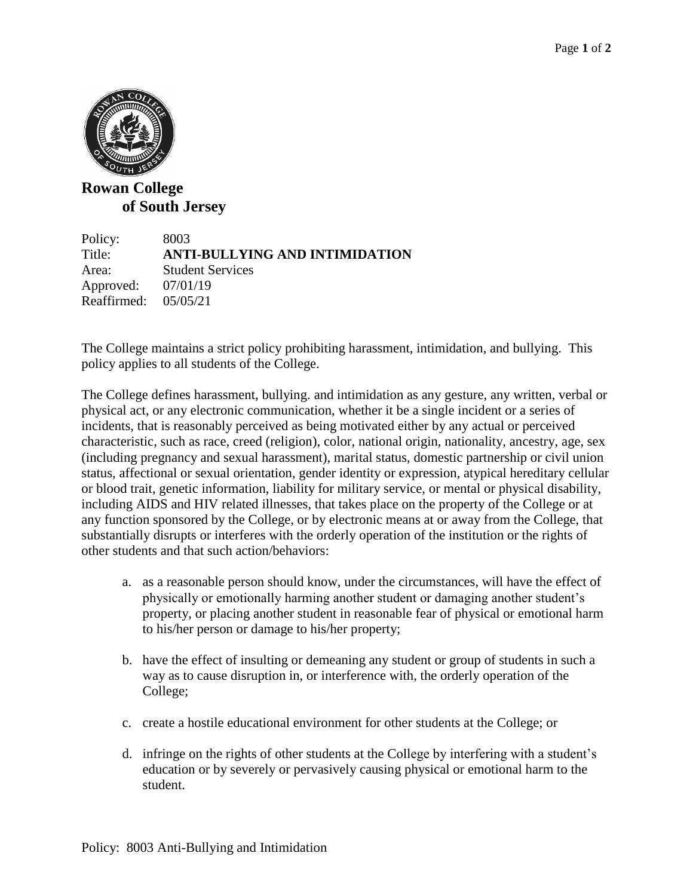

## **Rowan College of South Jersey**

Policy: 8003 Title: **ANTI-BULLYING AND INTIMIDATION** Area: Student Services Approved: 07/01/19 Reaffirmed: 05/05/21

The College maintains a strict policy prohibiting harassment, intimidation, and bullying. This policy applies to all students of the College.

The College defines harassment, bullying. and intimidation as any gesture, any written, verbal or physical act, or any electronic communication, whether it be a single incident or a series of incidents, that is reasonably perceived as being motivated either by any actual or perceived characteristic, such as race, creed (religion), color, national origin, nationality, ancestry, age, sex (including pregnancy and sexual harassment), marital status, domestic partnership or civil union status, affectional or sexual orientation, gender identity or expression, atypical hereditary cellular or blood trait, genetic information, liability for military service, or mental or physical disability, including AIDS and HIV related illnesses, that takes place on the property of the College or at any function sponsored by the College, or by electronic means at or away from the College, that substantially disrupts or interferes with the orderly operation of the institution or the rights of other students and that such action/behaviors:

- a. as a reasonable person should know, under the circumstances, will have the effect of physically or emotionally harming another student or damaging another student's property, or placing another student in reasonable fear of physical or emotional harm to his/her person or damage to his/her property;
- b. have the effect of insulting or demeaning any student or group of students in such a way as to cause disruption in, or interference with, the orderly operation of the College;
- c. create a hostile educational environment for other students at the College; or
- d. infringe on the rights of other students at the College by interfering with a student's education or by severely or pervasively causing physical or emotional harm to the student.